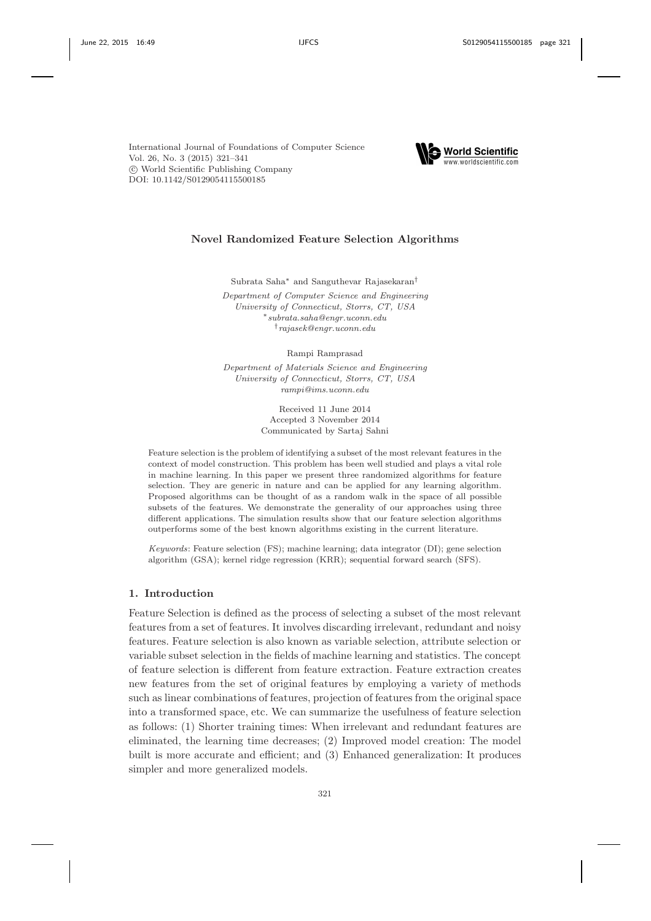International Journal of Foundations of Computer Science Vol. 26, No. 3 (2015) 321–341 c World Scientific Publishing Company [DOI: 10.1142/S0129054115500185](http://dx.doi.org/10.1142/S0129054115500185)



# Novel Randomized Feature Selection Algorithms

Subrata Saha<sup>∗</sup> and Sanguthevar Rajasekaran†

Department of Computer Science and Engineering University of Connecticut, Storrs, CT, USA ∗ subrata.saha@engr.uconn.edu † rajasek@engr.uconn.edu

Rampi Ramprasad

Department of Materials Science and Engineering University of Connecticut, Storrs, CT, USA rampi@ims.uconn.edu

> Received 11 June 2014 Accepted 3 November 2014 Communicated by Sartaj Sahni

Feature selection is the problem of identifying a subset of the most relevant features in the context of model construction. This problem has been well studied and plays a vital role in machine learning. In this paper we present three randomized algorithms for feature selection. They are generic in nature and can be applied for any learning algorithm. Proposed algorithms can be thought of as a random walk in the space of all possible subsets of the features. We demonstrate the generality of our approaches using three different applications. The simulation results show that our feature selection algorithms outperforms some of the best known algorithms existing in the current literature.

Keywords: Feature selection (FS); machine learning; data integrator (DI); gene selection algorithm (GSA); kernel ridge regression (KRR); sequential forward search (SFS).

## 1. Introduction

Feature Selection is defined as the process of selecting a subset of the most relevant features from a set of features. It involves discarding irrelevant, redundant and noisy features. Feature selection is also known as variable selection, attribute selection or variable subset selection in the fields of machine learning and statistics. The concept of feature selection is different from feature extraction. Feature extraction creates new features from the set of original features by employing a variety of methods such as linear combinations of features, projection of features from the original space into a transformed space, etc. We can summarize the usefulness of feature selection as follows: (1) Shorter training times: When irrelevant and redundant features are eliminated, the learning time decreases; (2) Improved model creation: The model built is more accurate and efficient; and (3) Enhanced generalization: It produces simpler and more generalized models.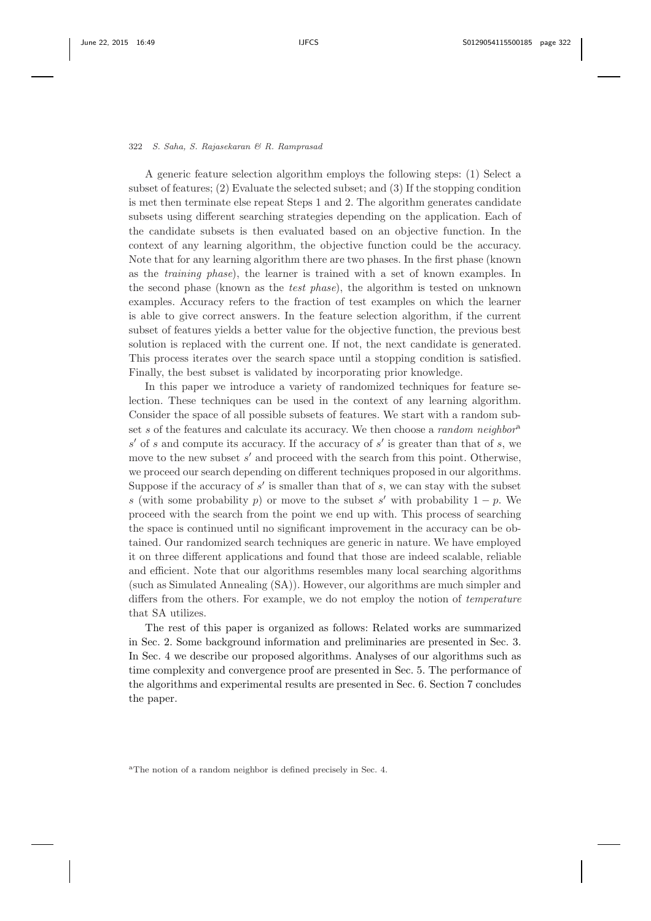#### 322 S. Saha, S. Rajasekaran & R. Ramprasad

A generic feature selection algorithm employs the following steps: (1) Select a subset of features; (2) Evaluate the selected subset; and (3) If the stopping condition is met then terminate else repeat Steps 1 and 2. The algorithm generates candidate subsets using different searching strategies depending on the application. Each of the candidate subsets is then evaluated based on an objective function. In the context of any learning algorithm, the objective function could be the accuracy. Note that for any learning algorithm there are two phases. In the first phase (known as the training phase), the learner is trained with a set of known examples. In the second phase (known as the test phase), the algorithm is tested on unknown examples. Accuracy refers to the fraction of test examples on which the learner is able to give correct answers. In the feature selection algorithm, if the current subset of features yields a better value for the objective function, the previous best solution is replaced with the current one. If not, the next candidate is generated. This process iterates over the search space until a stopping condition is satisfied. Finally, the best subset is validated by incorporating prior knowledge.

In this paper we introduce a variety of randomized techniques for feature selection. These techniques can be used in the context of any learning algorithm. Consider the space of all possible subsets of features. We start with a random subset s of the features and calculate its accuracy. We then choose a *random neighbor*<sup>3</sup>  $s'$  of s and compute its accuracy. If the accuracy of  $s'$  is greater than that of s, we move to the new subset  $s'$  and proceed with the search from this point. Otherwise, we proceed our search depending on different techniques proposed in our algorithms. Suppose if the accuracy of  $s'$  is smaller than that of  $s$ , we can stay with the subset s (with some probability p) or move to the subset s' with probability  $1 - p$ . We proceed with the search from the point we end up with. This process of searching the space is continued until no significant improvement in the accuracy can be obtained. Our randomized search techniques are generic in nature. We have employed it on three different applications and found that those are indeed scalable, reliable and efficient. Note that our algorithms resembles many local searching algorithms (such as Simulated Annealing (SA)). However, our algorithms are much simpler and differs from the others. For example, we do not employ the notion of temperature that SA utilizes.

The rest of this paper is organized as follows: Related works are summarized in Sec. 2. Some background information and preliminaries are presented in Sec. 3. In Sec. 4 we describe our proposed algorithms. Analyses of our algorithms such as time complexity and convergence proof are presented in Sec. 5. The performance of the algorithms and experimental results are presented in Sec. 6. Section 7 concludes the paper.

<sup>a</sup>The notion of a random neighbor is defined precisely in Sec. 4.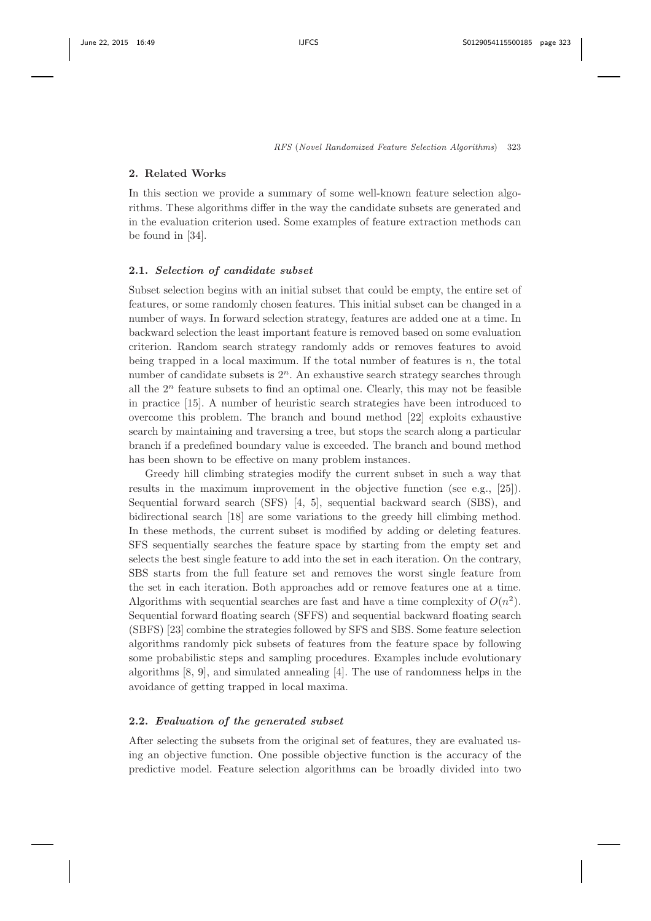## 2. Related Works

In this section we provide a summary of some well-known feature selection algorithms. These algorithms differ in the way the candidate subsets are generated and in the evaluation criterion used. Some examples of feature extraction methods can be found in [34].

### 2.1. Selection of candidate subset

Subset selection begins with an initial subset that could be empty, the entire set of features, or some randomly chosen features. This initial subset can be changed in a number of ways. In forward selection strategy, features are added one at a time. In backward selection the least important feature is removed based on some evaluation criterion. Random search strategy randomly adds or removes features to avoid being trapped in a local maximum. If the total number of features is  $n$ , the total number of candidate subsets is  $2^n$ . An exhaustive search strategy searches through all the  $2^n$  feature subsets to find an optimal one. Clearly, this may not be feasible in practice [15]. A number of heuristic search strategies have been introduced to overcome this problem. The branch and bound method [22] exploits exhaustive search by maintaining and traversing a tree, but stops the search along a particular branch if a predefined boundary value is exceeded. The branch and bound method has been shown to be effective on many problem instances.

Greedy hill climbing strategies modify the current subset in such a way that results in the maximum improvement in the objective function (see e.g., [25]). Sequential forward search (SFS) [4, 5], sequential backward search (SBS), and bidirectional search [18] are some variations to the greedy hill climbing method. In these methods, the current subset is modified by adding or deleting features. SFS sequentially searches the feature space by starting from the empty set and selects the best single feature to add into the set in each iteration. On the contrary, SBS starts from the full feature set and removes the worst single feature from the set in each iteration. Both approaches add or remove features one at a time. Algorithms with sequential searches are fast and have a time complexity of  $O(n^2)$ . Sequential forward floating search (SFFS) and sequential backward floating search (SBFS) [23] combine the strategies followed by SFS and SBS. Some feature selection algorithms randomly pick subsets of features from the feature space by following some probabilistic steps and sampling procedures. Examples include evolutionary algorithms [8, 9], and simulated annealing [4]. The use of randomness helps in the avoidance of getting trapped in local maxima.

# 2.2. Evaluation of the generated subset

After selecting the subsets from the original set of features, they are evaluated using an objective function. One possible objective function is the accuracy of the predictive model. Feature selection algorithms can be broadly divided into two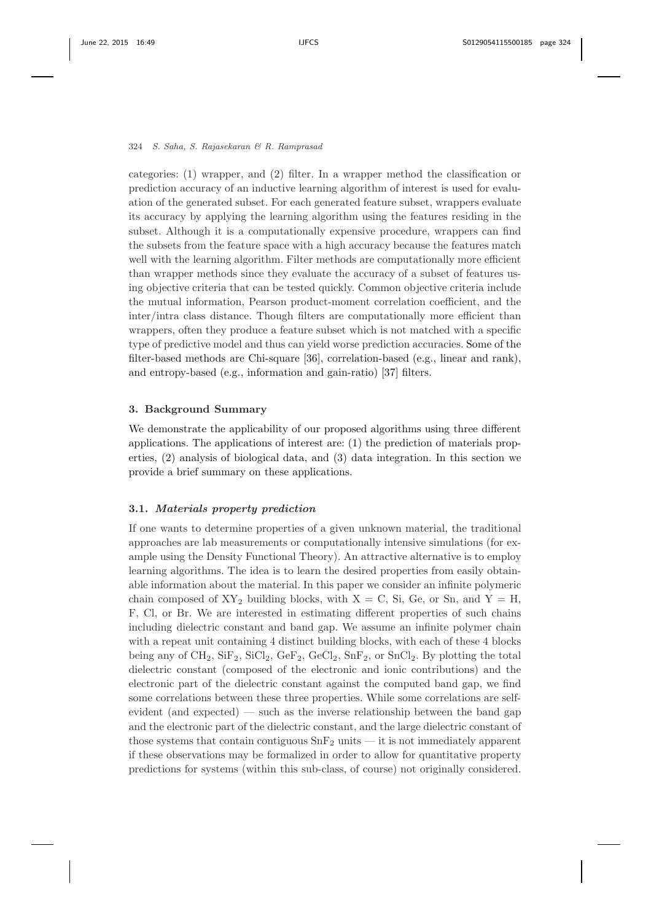categories: (1) wrapper, and (2) filter. In a wrapper method the classification or prediction accuracy of an inductive learning algorithm of interest is used for evaluation of the generated subset. For each generated feature subset, wrappers evaluate its accuracy by applying the learning algorithm using the features residing in the subset. Although it is a computationally expensive procedure, wrappers can find the subsets from the feature space with a high accuracy because the features match well with the learning algorithm. Filter methods are computationally more efficient than wrapper methods since they evaluate the accuracy of a subset of features using objective criteria that can be tested quickly. Common objective criteria include the mutual information, Pearson product-moment correlation coefficient, and the inter/intra class distance. Though filters are computationally more efficient than wrappers, often they produce a feature subset which is not matched with a specific type of predictive model and thus can yield worse prediction accuracies. Some of the filter-based methods are Chi-square [36], correlation-based (e.g., linear and rank), and entropy-based (e.g., information and gain-ratio) [37] filters.

## 3. Background Summary

We demonstrate the applicability of our proposed algorithms using three different applications. The applications of interest are: (1) the prediction of materials properties, (2) analysis of biological data, and (3) data integration. In this section we provide a brief summary on these applications.

## 3.1. Materials property prediction

If one wants to determine properties of a given unknown material, the traditional approaches are lab measurements or computationally intensive simulations (for example using the Density Functional Theory). An attractive alternative is to employ learning algorithms. The idea is to learn the desired properties from easily obtainable information about the material. In this paper we consider an infinite polymeric chain composed of  $XY_2$  building blocks, with  $X = C$ , Si, Ge, or Sn, and  $Y = H$ , F, Cl, or Br. We are interested in estimating different properties of such chains including dielectric constant and band gap. We assume an infinite polymer chain with a repeat unit containing 4 distinct building blocks, with each of these 4 blocks being any of  $CH_2$ ,  $SiCl_2$ ,  $GeFe_2$ ,  $GeCl_2$ ,  $SnF_2$ , or  $SnCl_2$ . By plotting the total dielectric constant (composed of the electronic and ionic contributions) and the electronic part of the dielectric constant against the computed band gap, we find some correlations between these three properties. While some correlations are selfevident (and expected) — such as the inverse relationship between the band gap and the electronic part of the dielectric constant, and the large dielectric constant of those systems that contain contiguous  $\text{SnF}_2$  units — it is not immediately apparent if these observations may be formalized in order to allow for quantitative property predictions for systems (within this sub-class, of course) not originally considered.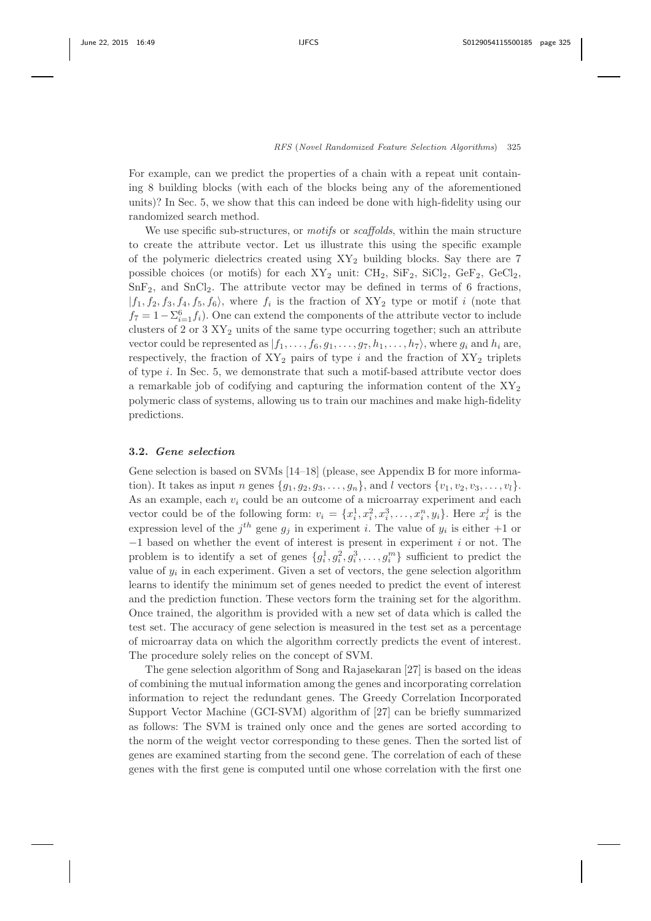For example, can we predict the properties of a chain with a repeat unit containing 8 building blocks (with each of the blocks being any of the aforementioned units)? In Sec. 5, we show that this can indeed be done with high-fidelity using our randomized search method.

We use specific sub-structures, or *motifs* or *scaffolds*, within the main structure to create the attribute vector. Let us illustrate this using the specific example of the polymeric dielectrics created using  $XY_2$  building blocks. Say there are 7 possible choices (or motifs) for each  $XY_2$  unit:  $CH_2$ ,  $SiF_2$ ,  $SiCl_2$ ,  $GeF_2$ ,  $GeCl_2$ ,  $SnF<sub>2</sub>$ , and  $SnCl<sub>2</sub>$ . The attribute vector may be defined in terms of 6 fractions,  $|f_1, f_2, f_3, f_4, f_5, f_6\rangle$ , where  $f_i$  is the fraction of XY<sub>2</sub> type or motif i (note that  $f_7 = 1 - \sum_{i=1}^{6} f_i$ . One can extend the components of the attribute vector to include clusters of 2 or 3 XY<sup>2</sup> units of the same type occurring together; such an attribute vector could be represented as  $|f_1, \ldots, f_6, g_1, \ldots, g_7, h_1, \ldots, h_7\rangle$ , where  $g_i$  and  $h_i$  are, respectively, the fraction of  $XY_2$  pairs of type i and the fraction of  $XY_2$  triplets of type i. In Sec. 5, we demonstrate that such a motif-based attribute vector does a remarkable job of codifying and capturing the information content of the  $XY_2$ polymeric class of systems, allowing us to train our machines and make high-fidelity predictions.

#### 3.2. Gene selection

Gene selection is based on SVMs [14–18] (please, see Appendix B for more information). It takes as input n genes  $\{g_1, g_2, g_3, \ldots, g_n\}$ , and l vectors  $\{v_1, v_2, v_3, \ldots, v_l\}$ . As an example, each  $v_i$  could be an outcome of a microarray experiment and each vector could be of the following form:  $v_i = \{x_i^1, x_i^2, x_i^3, \ldots, x_i^n, y_i\}$ . Here  $x_i^j$  is the expression level of the  $j<sup>th</sup>$  gene  $g_j$  in experiment i. The value of  $y_i$  is either  $+1$  or −1 based on whether the event of interest is present in experiment i or not. The problem is to identify a set of genes  $\{g_i^1, g_i^2, g_i^3, \ldots, g_i^m\}$  sufficient to predict the value of  $y_i$  in each experiment. Given a set of vectors, the gene selection algorithm learns to identify the minimum set of genes needed to predict the event of interest and the prediction function. These vectors form the training set for the algorithm. Once trained, the algorithm is provided with a new set of data which is called the test set. The accuracy of gene selection is measured in the test set as a percentage of microarray data on which the algorithm correctly predicts the event of interest. The procedure solely relies on the concept of SVM.

The gene selection algorithm of Song and Rajasekaran [27] is based on the ideas of combining the mutual information among the genes and incorporating correlation information to reject the redundant genes. The Greedy Correlation Incorporated Support Vector Machine (GCI-SVM) algorithm of [27] can be briefly summarized as follows: The SVM is trained only once and the genes are sorted according to the norm of the weight vector corresponding to these genes. Then the sorted list of genes are examined starting from the second gene. The correlation of each of these genes with the first gene is computed until one whose correlation with the first one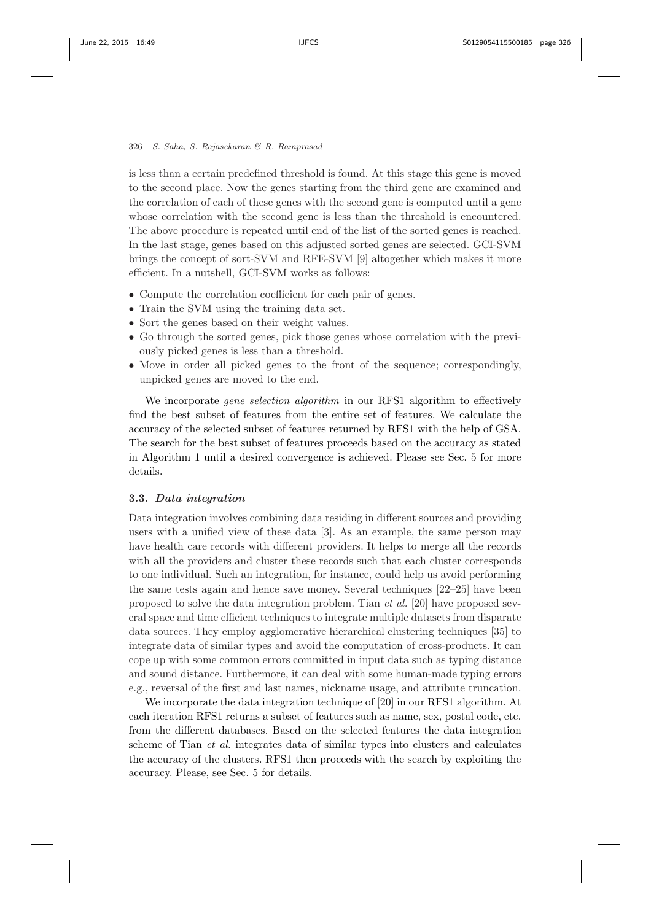is less than a certain predefined threshold is found. At this stage this gene is moved to the second place. Now the genes starting from the third gene are examined and the correlation of each of these genes with the second gene is computed until a gene whose correlation with the second gene is less than the threshold is encountered. The above procedure is repeated until end of the list of the sorted genes is reached. In the last stage, genes based on this adjusted sorted genes are selected. GCI-SVM brings the concept of sort-SVM and RFE-SVM [9] altogether which makes it more efficient. In a nutshell, GCI-SVM works as follows:

- Compute the correlation coefficient for each pair of genes.
- Train the SVM using the training data set.
- Sort the genes based on their weight values.
- Go through the sorted genes, pick those genes whose correlation with the previously picked genes is less than a threshold.
- Move in order all picked genes to the front of the sequence; correspondingly, unpicked genes are moved to the end.

We incorporate *gene selection algorithm* in our RFS1 algorithm to effectively find the best subset of features from the entire set of features. We calculate the accuracy of the selected subset of features returned by RFS1 with the help of GSA. The search for the best subset of features proceeds based on the accuracy as stated in Algorithm 1 until a desired convergence is achieved. Please see Sec. 5 for more details.

#### 3.3. Data integration

Data integration involves combining data residing in different sources and providing users with a unified view of these data [3]. As an example, the same person may have health care records with different providers. It helps to merge all the records with all the providers and cluster these records such that each cluster corresponds to one individual. Such an integration, for instance, could help us avoid performing the same tests again and hence save money. Several techniques [22–25] have been proposed to solve the data integration problem. Tian et al. [20] have proposed several space and time efficient techniques to integrate multiple datasets from disparate data sources. They employ agglomerative hierarchical clustering techniques [35] to integrate data of similar types and avoid the computation of cross-products. It can cope up with some common errors committed in input data such as typing distance and sound distance. Furthermore, it can deal with some human-made typing errors e.g., reversal of the first and last names, nickname usage, and attribute truncation.

We incorporate the data integration technique of [20] in our RFS1 algorithm. At each iteration RFS1 returns a subset of features such as name, sex, postal code, etc. from the different databases. Based on the selected features the data integration scheme of Tian et al. integrates data of similar types into clusters and calculates the accuracy of the clusters. RFS1 then proceeds with the search by exploiting the accuracy. Please, see Sec. 5 for details.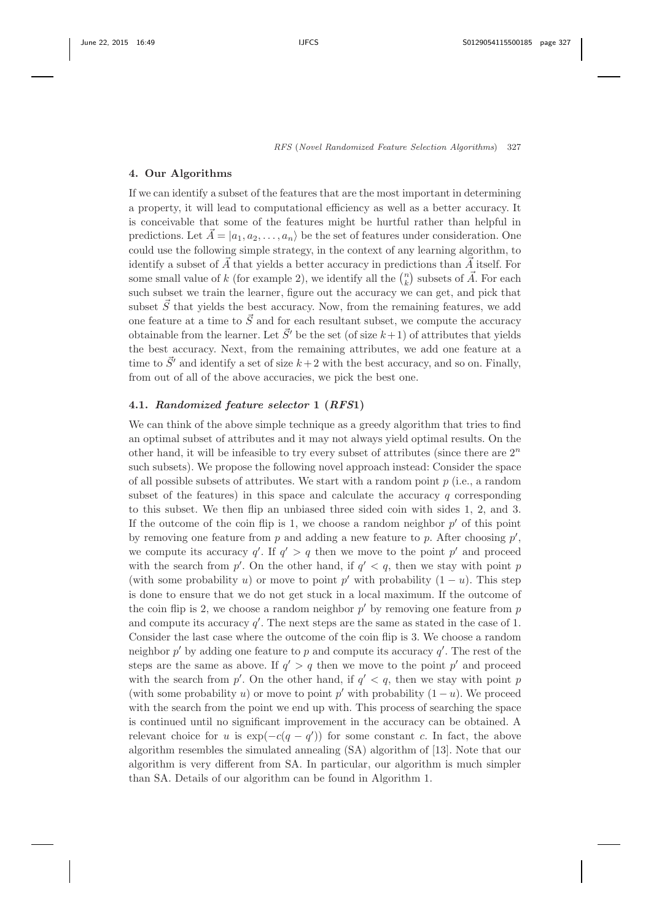## 4. Our Algorithms

If we can identify a subset of the features that are the most important in determining a property, it will lead to computational efficiency as well as a better accuracy. It is conceivable that some of the features might be hurtful rather than helpful in predictions. Let  $\vec{A} = |a_1, a_2, \ldots, a_n\rangle$  be the set of features under consideration. One could use the following simple strategy, in the context of any learning algorithm, to identify a subset of  $\vec{A}$  that yields a better accuracy in predictions than  $\vec{A}$  itself. For some small value of k (for example 2), we identify all the  $\binom{n}{k}$  subsets of  $\vec{A}$ . For each such subset we train the learner, figure out the accuracy we can get, and pick that subset  $\vec{S}$  that yields the best accuracy. Now, from the remaining features, we add one feature at a time to  $\vec{S}$  and for each resultant subset, we compute the accuracy obtainable from the learner. Let  $\vec{S}'$  be the set (of size  $k+1$ ) of attributes that yields the best accuracy. Next, from the remaining attributes, we add one feature at a time to  $\vec{S}'$  and identify a set of size  $k+2$  with the best accuracy, and so on. Finally, from out of all of the above accuracies, we pick the best one.

# 4.1. Randomized feature selector 1 (RFS1)

We can think of the above simple technique as a greedy algorithm that tries to find an optimal subset of attributes and it may not always yield optimal results. On the other hand, it will be infeasible to try every subset of attributes (since there are  $2^n$ such subsets). We propose the following novel approach instead: Consider the space of all possible subsets of attributes. We start with a random point  $p$  (i.e., a random subset of the features) in this space and calculate the accuracy  $q$  corresponding to this subset. We then flip an unbiased three sided coin with sides 1, 2, and 3. If the outcome of the coin flip is 1, we choose a random neighbor  $p'$  of this point by removing one feature from  $p$  and adding a new feature to  $p$ . After choosing  $p'$ , we compute its accuracy  $q'$ . If  $q' > q$  then we move to the point  $p'$  and proceed with the search from  $p'$ . On the other hand, if  $q' < q$ , then we stay with point p (with some probability u) or move to point p' with probability  $(1 - u)$ . This step is done to ensure that we do not get stuck in a local maximum. If the outcome of the coin flip is 2, we choose a random neighbor  $p'$  by removing one feature from  $p$ and compute its accuracy  $q'$ . The next steps are the same as stated in the case of 1. Consider the last case where the outcome of the coin flip is 3. We choose a random neighbor  $p'$  by adding one feature to p and compute its accuracy  $q'$ . The rest of the steps are the same as above. If  $q' > q$  then we move to the point  $p'$  and proceed with the search from  $p'$ . On the other hand, if  $q' < q$ , then we stay with point p (with some probability u) or move to point p' with probability  $(1 - u)$ . We proceed with the search from the point we end up with. This process of searching the space is continued until no significant improvement in the accuracy can be obtained. A relevant choice for u is  $exp(-c(q - q'))$  for some constant c. In fact, the above algorithm resembles the simulated annealing (SA) algorithm of [13]. Note that our algorithm is very different from SA. In particular, our algorithm is much simpler than SA. Details of our algorithm can be found in Algorithm 1.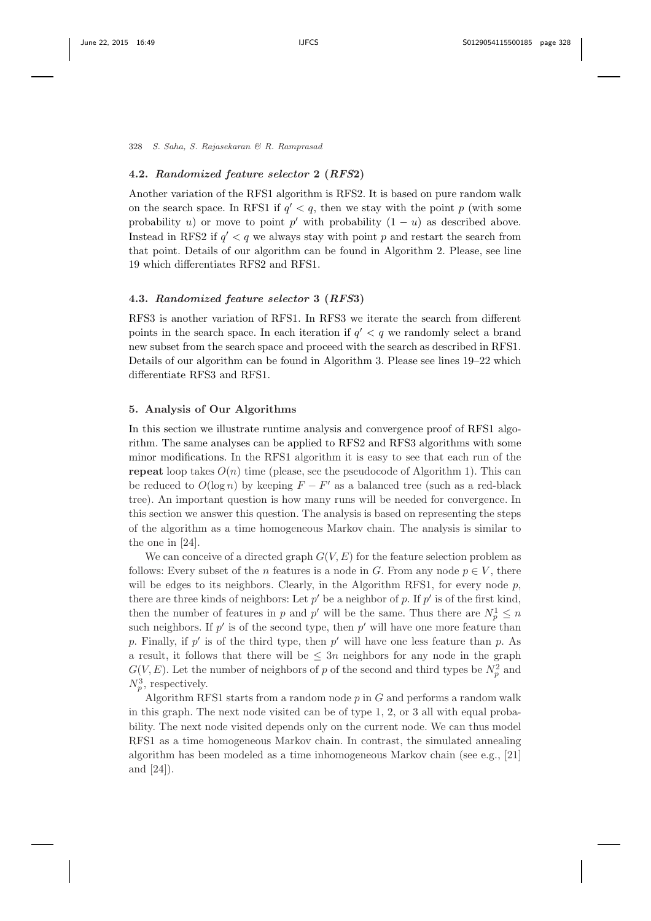# 4.2. Randomized feature selector 2 (RFS2)

Another variation of the RFS1 algorithm is RFS2. It is based on pure random walk on the search space. In RFS1 if  $q' < q$ , then we stay with the point p (with some probability u) or move to point p' with probability  $(1 - u)$  as described above. Instead in RFS2 if  $q' < q$  we always stay with point p and restart the search from that point. Details of our algorithm can be found in Algorithm 2. Please, see line 19 which differentiates RFS2 and RFS1.

## 4.3. Randomized feature selector 3 (RFS3)

RFS3 is another variation of RFS1. In RFS3 we iterate the search from different points in the search space. In each iteration if  $q' < q$  we randomly select a brand new subset from the search space and proceed with the search as described in RFS1. Details of our algorithm can be found in Algorithm 3. Please see lines 19–22 which differentiate RFS3 and RFS1.

#### 5. Analysis of Our Algorithms

In this section we illustrate runtime analysis and convergence proof of RFS1 algorithm. The same analyses can be applied to RFS2 and RFS3 algorithms with some minor modifications. In the RFS1 algorithm it is easy to see that each run of the repeat loop takes  $O(n)$  time (please, see the pseudocode of Algorithm 1). This can be reduced to  $O(\log n)$  by keeping  $F - F'$  as a balanced tree (such as a red-black tree). An important question is how many runs will be needed for convergence. In this section we answer this question. The analysis is based on representing the steps of the algorithm as a time homogeneous Markov chain. The analysis is similar to the one in [24].

We can conceive of a directed graph  $G(V, E)$  for the feature selection problem as follows: Every subset of the n features is a node in G. From any node  $p \in V$ , there will be edges to its neighbors. Clearly, in the Algorithm RFS1, for every node  $p$ , there are three kinds of neighbors: Let  $p'$  be a neighbor of p. If  $p'$  is of the first kind, then the number of features in p and p' will be the same. Thus there are  $N_p^1 \leq n$ such neighbors. If  $p'$  is of the second type, then  $p'$  will have one more feature than p. Finally, if  $p'$  is of the third type, then  $p'$  will have one less feature than p. As a result, it follows that there will be  $\leq 3n$  neighbors for any node in the graph  $G(V, E)$ . Let the number of neighbors of p of the second and third types be  $N_p^2$  and  $N_p^3$ , respectively.

Algorithm RFS1 starts from a random node  $p$  in  $G$  and performs a random walk in this graph. The next node visited can be of type 1, 2, or 3 all with equal probability. The next node visited depends only on the current node. We can thus model RFS1 as a time homogeneous Markov chain. In contrast, the simulated annealing algorithm has been modeled as a time inhomogeneous Markov chain (see e.g., [21] and [24]).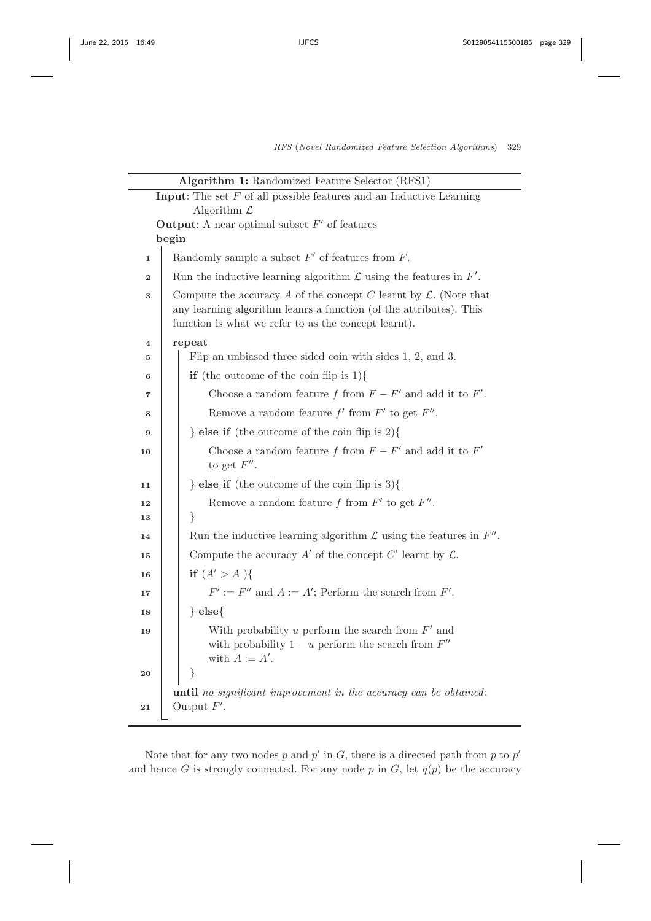|              | Algorithm 1: Randomized Feature Selector (RFS1)                                                                                                                                                            |
|--------------|------------------------------------------------------------------------------------------------------------------------------------------------------------------------------------------------------------|
|              | <b>Input:</b> The set $F$ of all possible features and an Inductive Learning                                                                                                                               |
|              | Algorithm $\mathcal L$                                                                                                                                                                                     |
|              | <b>Output:</b> A near optimal subset $F'$ of features                                                                                                                                                      |
|              | begin                                                                                                                                                                                                      |
| $\mathbf{1}$ | Randomly sample a subset $F'$ of features from $F$ .                                                                                                                                                       |
| $\mathbf 2$  | Run the inductive learning algorithm $\mathcal L$ using the features in $F'$ .                                                                                                                             |
| 3            | Compute the accuracy A of the concept C learnt by $\mathcal{L}$ . (Note that<br>any learning algorithm leanrs a function (of the attributes). This<br>function is what we refer to as the concept learnt). |
| 4            | repeat                                                                                                                                                                                                     |
| 5            | Flip an unbiased three sided coin with sides 1, 2, and 3.                                                                                                                                                  |
| 6            | <b>if</b> (the outcome of the coin flip is $1$ ){                                                                                                                                                          |
| 7            | Choose a random feature f from $F - F'$ and add it to F'.                                                                                                                                                  |
| 8            | Remove a random feature $f'$ from $F'$ to get $F''$ .                                                                                                                                                      |
| 9            | } else if (the outcome of the coin flip is $2$ ){                                                                                                                                                          |
| 10           | Choose a random feature f from $F - F'$ and add it to F'<br>to get $F''$ .                                                                                                                                 |
| 11           | } else if (the outcome of the coin flip is $3$ ){                                                                                                                                                          |
| 12           | Remove a random feature $f$ from $F'$ to get $F''$ .                                                                                                                                                       |
| 13           | }                                                                                                                                                                                                          |
| 14           | Run the inductive learning algorithm $\mathcal L$ using the features in $F''$ .                                                                                                                            |
| 15           | Compute the accuracy $A'$ of the concept $C'$ learnt by $\mathcal{L}$ .                                                                                                                                    |
| 16           | <b>if</b> $(A' > A)$ {                                                                                                                                                                                     |
| 17           | $F' := F''$ and $A := A'$ ; Perform the search from $F'$ .                                                                                                                                                 |
| 18           | $\}$ else $\{$                                                                                                                                                                                             |
| 19           | With probability $u$ perform the search from $F'$ and<br>with probability $1 - u$ perform the search from $F''$<br>with $A := A'$ .                                                                        |
| 20           | }                                                                                                                                                                                                          |
| 21           | until no significant improvement in the accuracy can be obtained;<br>Output $F'$ .                                                                                                                         |

Note that for any two nodes p and  $p'$  in  $G$ , there is a directed path from p to p' and hence G is strongly connected. For any node  $p$  in  $G$ , let  $q(p)$  be the accuracy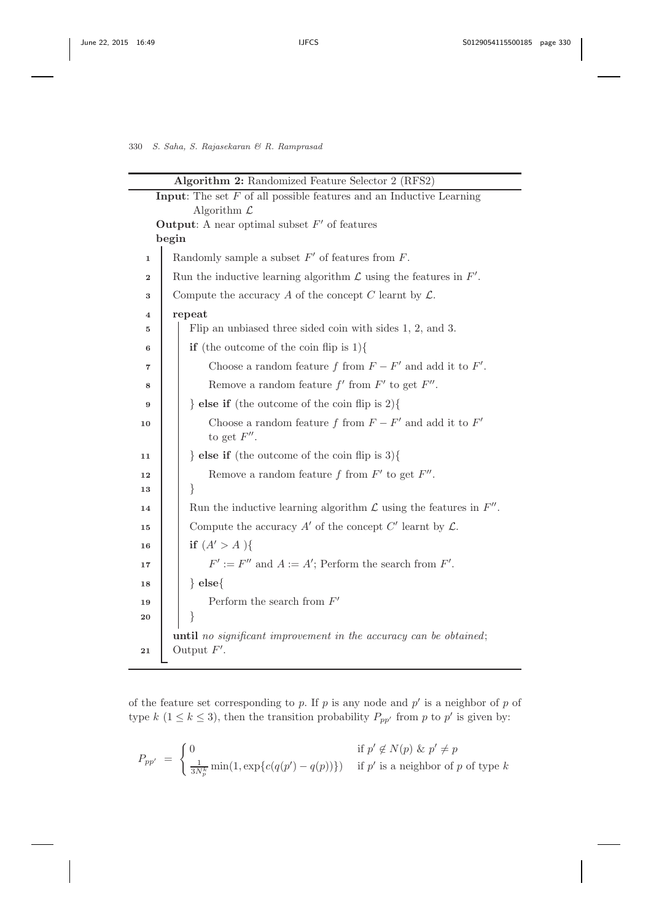|          | Algorithm 2: Randomized Feature Selector 2 (RFS2)                                  |
|----------|------------------------------------------------------------------------------------|
|          | <b>Input:</b> The set $F$ of all possible features and an Inductive Learning       |
|          | Algorithm $\mathcal L$                                                             |
|          | <b>Output:</b> A near optimal subset $F'$ of features                              |
|          | begin                                                                              |
| 1        | Randomly sample a subset $F'$ of features from $F$ .                               |
| $\bf{2}$ | Run the inductive learning algorithm $\mathcal L$ using the features in $F'$ .     |
| 3        | Compute the accuracy A of the concept C learnt by $\mathcal{L}$ .                  |
| 4        | repeat                                                                             |
| 5        | Flip an unbiased three sided coin with sides $1, 2$ , and $3$ .                    |
| 6        | <b>if</b> (the outcome of the coin flip is $1$ ){                                  |
| 7        | Choose a random feature f from $F - F'$ and add it to F'.                          |
| 8        | Remove a random feature $f'$ from $F'$ to get $F''$ .                              |
| 9        | } else if (the outcome of the coin flip is $2$ ){                                  |
| 10       | Choose a random feature f from $F - F'$ and add it to $F'$<br>to get $F''$ .       |
| 11       | } else if (the outcome of the coin flip is $3$ ){                                  |
| 12       | Remove a random feature f from $F'$ to get $F''$ .                                 |
| 13       | $\}$                                                                               |
| 14       | Run the inductive learning algorithm $\mathcal L$ using the features in $F''$ .    |
| 15       | Compute the accuracy $A'$ of the concept $C'$ learnt by $\mathcal{L}$ .            |
| 16       | <b>if</b> $(A' > A)$ {                                                             |
| 17       | $F' := F''$ and $A := A'$ ; Perform the search from $F'$ .                         |
| 18       | $\}$ else $\{$                                                                     |
| 19       | Perform the search from $F^\prime$                                                 |
| 20       | $\}$                                                                               |
| 21       | until no significant improvement in the accuracy can be obtained;<br>Output $F'$ . |

of the feature set corresponding to p. If p is any node and  $p'$  is a neighbor of p of type  $k$  ( $1 \leq k \leq 3$ ), then the transition probability  $P_{pp'}$  from p to p' is given by:

$$
P_{pp'} = \begin{cases} 0 & \text{if } p' \notin N(p) \& p' \neq p \\ \frac{1}{3N_p^k} \min(1, \exp\{c(q(p') - q(p))\}) & \text{if } p' \text{ is a neighbor of } p \text{ of type } k \end{cases}
$$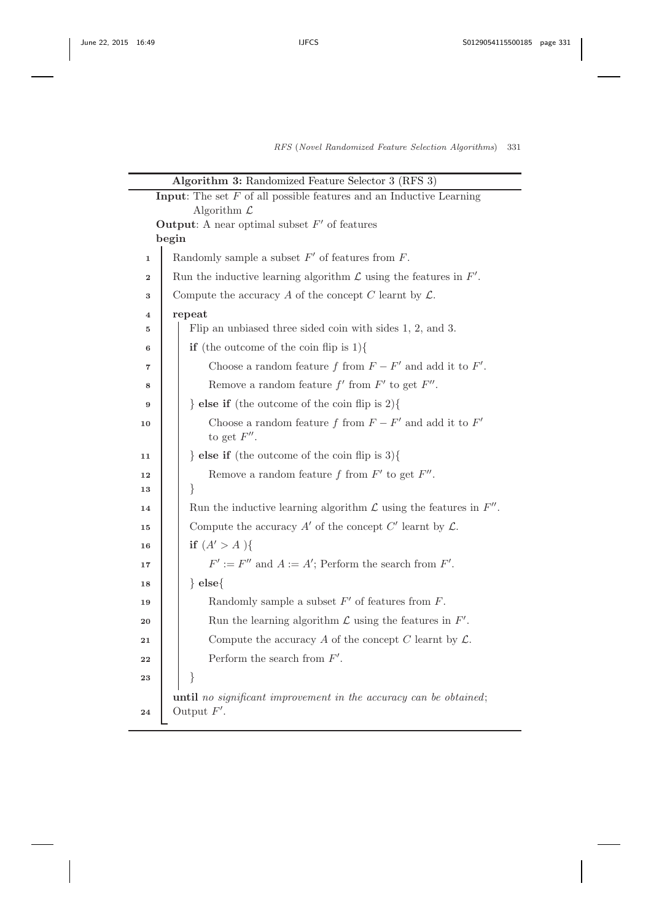|          | Algorithm 3: Randomized Feature Selector 3 (RFS 3)                                 |
|----------|------------------------------------------------------------------------------------|
|          | <b>Input:</b> The set $F$ of all possible features and an Inductive Learning       |
|          | Algorithm $\mathcal L$                                                             |
|          | <b>Output:</b> A near optimal subset $F'$ of features                              |
|          | begin                                                                              |
| 1        | Randomly sample a subset $F'$ of features from $F$ .                               |
| 2        | Run the inductive learning algorithm $\mathcal L$ using the features in $F'$ .     |
| 3        | Compute the accuracy A of the concept C learnt by $\mathcal{L}$ .                  |
| 4        | repeat                                                                             |
| 5        | Flip an unbiased three sided coin with sides $1, 2$ , and $3$ .                    |
| 6        | <b>if</b> (the outcome of the coin flip is $1$ ){                                  |
| 7        | Choose a random feature $f$ from $F - F'$ and add it to $F'$ .                     |
| 8        | Remove a random feature $f'$ from $F'$ to get $F''$ .                              |
| 9        | } else if (the outcome of the coin flip is $2$ ){                                  |
| 10       | Choose a random feature $f$ from $F - F'$ and add it to $F'$<br>to get $F''$ .     |
| 11       | } else if (the outcome of the coin flip is $3$ ) $\{$                              |
| 12<br>13 | Remove a random feature f from $F'$ to get $F''$ .<br>$\}$                         |
| 14       | Run the inductive learning algorithm $\mathcal L$ using the features in $F''$ .    |
| 15       | Compute the accuracy $A'$ of the concept $C'$ learnt by $\mathcal{L}$ .            |
| 16       | <b>if</b> $(A' > A)$ {                                                             |
| 17       | $F' := F''$ and $A := A'$ ; Perform the search from $F'$ .                         |
| 18       | $\}$ else $\{$                                                                     |
| 19       | Randomly sample a subset $F'$ of features from $F$ .                               |
| 20       | Run the learning algorithm $\mathcal L$ using the features in $F'$ .               |
| 21       | Compute the accuracy $A$ of the concept $C$ learnt by $\mathcal{L}$ .              |
| 22       | Perform the search from $F'$ .                                                     |
| 23       | $\}$                                                                               |
| 24       | until no significant improvement in the accuracy can be obtained;<br>Output $F'$ . |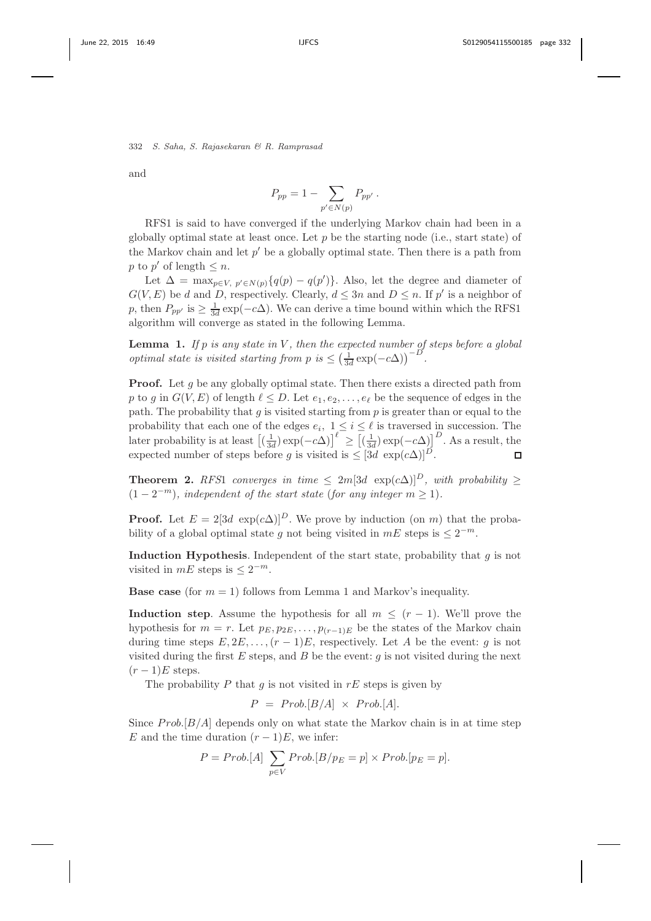332 S. Saha, S. Rajasekaran & R. Ramprasad

and

$$
P_{pp} = 1 - \sum_{p' \in N(p)} P_{pp'}.
$$

RFS1 is said to have converged if the underlying Markov chain had been in a globally optimal state at least once. Let  $p$  be the starting node (i.e., start state) of the Markov chain and let  $p'$  be a globally optimal state. Then there is a path from p to p' of length  $\leq n$ .

Let  $\Delta = \max_{p \in V, p' \in N(p)} \{ q(p) - q(p') \}.$  Also, let the degree and diameter of  $G(V, E)$  be d and D, respectively. Clearly,  $d \leq 3n$  and  $D \leq n$ . If p' is a neighbor of p, then  $P_{pp'}$  is  $\geq \frac{1}{3d} \exp(-c\Delta)$ . We can derive a time bound within which the RFS1 algorithm will converge as stated in the following Lemma.

**Lemma 1.** If p is any state in  $V$ , then the expected number of steps before a global optimal state is visited starting from p is  $\leq (\frac{1}{3d} \exp(-c\Delta))^{-D}$ .

**Proof.** Let q be any globally optimal state. Then there exists a directed path from p to g in  $G(V, E)$  of length  $\ell \leq D$ . Let  $e_1, e_2, \ldots, e_{\ell}$  be the sequence of edges in the path. The probability that g is visited starting from  $p$  is greater than or equal to the probability that each one of the edges  $e_i$ ,  $1 \leq i \leq \ell$  is traversed in succession. The later probability is at least  $\left[\left(\frac{1}{3d}\right) \exp(-c\Delta)\right]^{\ell} \ge \left[\left(\frac{1}{3d}\right) \exp(-c\Delta)\right]^D$ . As a result, the expected number of steps before g is visited is  $\leq [3d \exp(c\Delta)]^D$ .

**Theorem 2.** RFS1 converges in time  $\leq 2m[3d \exp(c\Delta)]^D$ , with probability  $\geq$  $(1-2^{-m})$ , independent of the start state (for any integer  $m \geq 1$ ).

**Proof.** Let  $E = 2[3d \exp(c\Delta)]^D$ . We prove by induction (on m) that the probability of a global optimal state g not being visited in  $mE$  steps is  $\leq 2^{-m}$ .

Induction Hypothesis. Independent of the start state, probability that  $g$  is not visited in  $mE$  steps is  $\leq 2^{-m}$ .

**Base case** (for  $m = 1$ ) follows from Lemma 1 and Markov's inequality.

Induction step. Assume the hypothesis for all  $m \leq (r-1)$ . We'll prove the hypothesis for  $m = r$ . Let  $p_E, p_{2E}, \ldots, p_{(r-1)E}$  be the states of the Markov chain during time steps  $E, 2E, \ldots, (r-1)E$ , respectively. Let A be the event: g is not visited during the first  $E$  steps, and  $B$  be the event:  $g$  is not visited during the next  $(r-1)E$  steps.

The probability P that q is not visited in  $rE$  steps is given by

$$
P = Prob[B/A] \times Prob[A].
$$

Since  $Prob[B/A]$  depends only on what state the Markov chain is in at time step E and the time duration  $(r-1)E$ , we infer:

$$
P = Prob.[A] \sum_{p \in V} Prob.[B/p_E = p] \times Prob.[p_E = p].
$$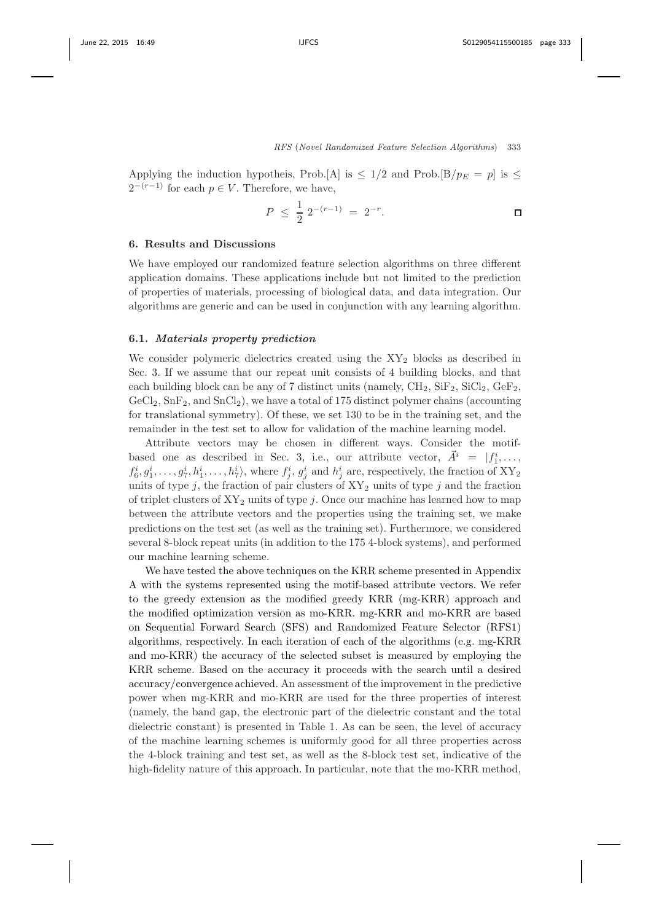Applying the induction hypotheis, Prob.[A] is  $\leq$  1/2 and Prob.[B/ $p_E = p$ ] is  $\leq$  $2^{-(r-1)}$  for each  $p \in V$ . Therefore, we have,

$$
P \leq \frac{1}{2} 2^{-(r-1)} = 2^{-r}.
$$

## 6. Results and Discussions

We have employed our randomized feature selection algorithms on three different application domains. These applications include but not limited to the prediction of properties of materials, processing of biological data, and data integration. Our algorithms are generic and can be used in conjunction with any learning algorithm.

## 6.1. Materials property prediction

We consider polymeric dielectrics created using the  $XY<sub>2</sub>$  blocks as described in Sec. 3. If we assume that our repeat unit consists of 4 building blocks, and that each building block can be any of 7 distinct units (namely,  $CH_2$ ,  $StF_2$ ,  $StCl_2$ ,  $GeF_2$ ,  $\text{GeCl}_2$ ,  $\text{SnF}_2$ , and  $\text{SnCl}_2$ ), we have a total of 175 distinct polymer chains (accounting for translational symmetry). Of these, we set 130 to be in the training set, and the remainder in the test set to allow for validation of the machine learning model.

Attribute vectors may be chosen in different ways. Consider the motifbased one as described in Sec. 3, i.e., our attribute vector,  $\vec{A}^i = |f_1^i, \ldots,$  $f_6^i, g_1^i, \ldots, g_7^i, h_1^i, \ldots, h_7^i$ , where  $f_j^i, g_j^i$  and  $h_j^i$  are, respectively, the fraction of  $XY_2$ units of type  $j$ , the fraction of pair clusters of  $XY_2$  units of type  $j$  and the fraction of triplet clusters of  $XY_2$  units of type j. Once our machine has learned how to map between the attribute vectors and the properties using the training set, we make predictions on the test set (as well as the training set). Furthermore, we considered several 8-block repeat units (in addition to the 175 4-block systems), and performed our machine learning scheme.

We have tested the above techniques on the KRR scheme presented in Appendix A with the systems represented using the motif-based attribute vectors. We refer to the greedy extension as the modified greedy KRR (mg-KRR) approach and the modified optimization version as mo-KRR. mg-KRR and mo-KRR are based on Sequential Forward Search (SFS) and Randomized Feature Selector (RFS1) algorithms, respectively. In each iteration of each of the algorithms (e.g. mg-KRR and mo-KRR) the accuracy of the selected subset is measured by employing the KRR scheme. Based on the accuracy it proceeds with the search until a desired accuracy/convergence achieved. An assessment of the improvement in the predictive power when mg-KRR and mo-KRR are used for the three properties of interest (namely, the band gap, the electronic part of the dielectric constant and the total dielectric constant) is presented in Table 1. As can be seen, the level of accuracy of the machine learning schemes is uniformly good for all three properties across the 4-block training and test set, as well as the 8-block test set, indicative of the high-fidelity nature of this approach. In particular, note that the mo-KRR method,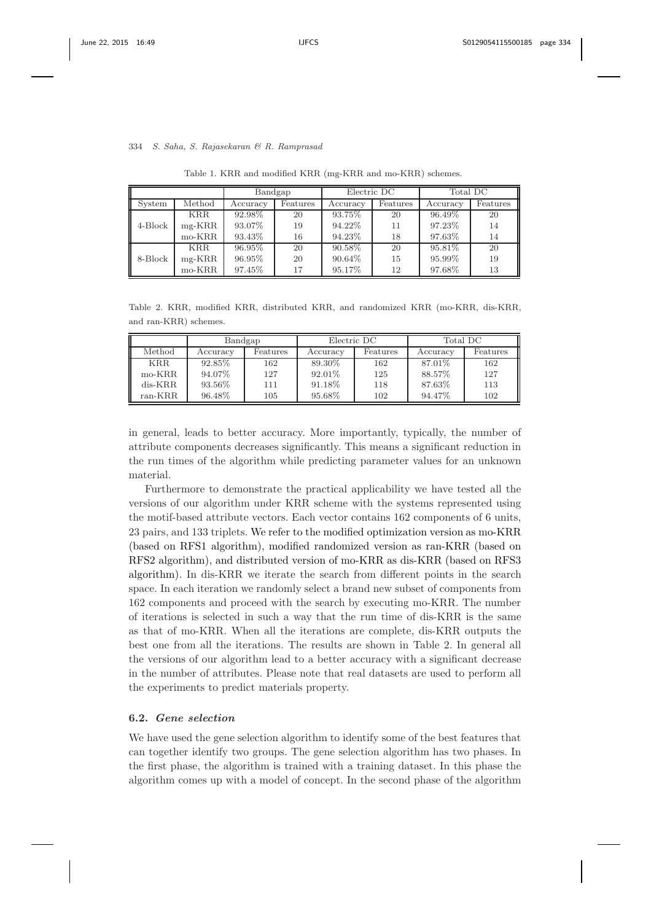|         |            | Bandgap  |          | Electric DC |          | Total DC |          |
|---------|------------|----------|----------|-------------|----------|----------|----------|
| System  | Method     | Accuracy | Features | Accuracy    | Features | Accuracy | Features |
|         | <b>KRR</b> | 92.98%   | 20       | 93.75%      | 20       | 96.49%   | 20       |
| 4-Block | $mg-KRR$   | 93.07%   | 19       | 94.22%      | 11       | 97.23%   | 14       |
|         | mo-KRR     | 93.43%   | 16       | 94.23%      | 18       | 97.63%   | 14       |
|         | <b>KRR</b> | 96.95%   | 20       | 90.58%      | 20       | 95.81%   | 20       |
| 8-Block | $mg-KRR$   | 96.95%   | 20       | 90.64\%     | 15       | 95.99%   | 19       |
|         | mo-KRR     | 97.45\%  | 17       | 95.17\%     | 12       | 97.68%   | 13       |

Table 1. KRR and modified KRR (mg-KRR and mo-KRR) schemes.

Table 2. KRR, modified KRR, distributed KRR, and randomized KRR (mo-KRR, dis-KRR, and ran-KRR) schemes.

|            | Bandgap  |          | Electric DC |          | Total DC |          |
|------------|----------|----------|-------------|----------|----------|----------|
| Method     | Accuracv | Features | Accuracv    | Features | Accuracy | Features |
| <b>KRR</b> | 92.85%   | 162      | 89.30\%     | 162      | 87.01%   | 162      |
| mo-KRR     | 94.07%   | 127      | 92.01\%     | 125      | 88.57%   | 127      |
| dis-KRR    | 93.56%   | 111      | 91.18%      | 118      | 87.63%   | 113      |
| $ran-KRR$  | 96.48%   | 105      | 95.68%      | 102      | 94.47%   | 102      |

in general, leads to better accuracy. More importantly, typically, the number of attribute components decreases significantly. This means a significant reduction in the run times of the algorithm while predicting parameter values for an unknown material.

Furthermore to demonstrate the practical applicability we have tested all the versions of our algorithm under KRR scheme with the systems represented using the motif-based attribute vectors. Each vector contains 162 components of 6 units, 23 pairs, and 133 triplets. We refer to the modified optimization version as mo-KRR (based on RFS1 algorithm), modified randomized version as ran-KRR (based on RFS2 algorithm), and distributed version of mo-KRR as dis-KRR (based on RFS3 algorithm). In dis-KRR we iterate the search from different points in the search space. In each iteration we randomly select a brand new subset of components from 162 components and proceed with the search by executing mo-KRR. The number of iterations is selected in such a way that the run time of dis-KRR is the same as that of mo-KRR. When all the iterations are complete, dis-KRR outputs the best one from all the iterations. The results are shown in Table 2. In general all the versions of our algorithm lead to a better accuracy with a significant decrease in the number of attributes. Please note that real datasets are used to perform all the experiments to predict materials property.

# 6.2. Gene selection

We have used the gene selection algorithm to identify some of the best features that can together identify two groups. The gene selection algorithm has two phases. In the first phase, the algorithm is trained with a training dataset. In this phase the algorithm comes up with a model of concept. In the second phase of the algorithm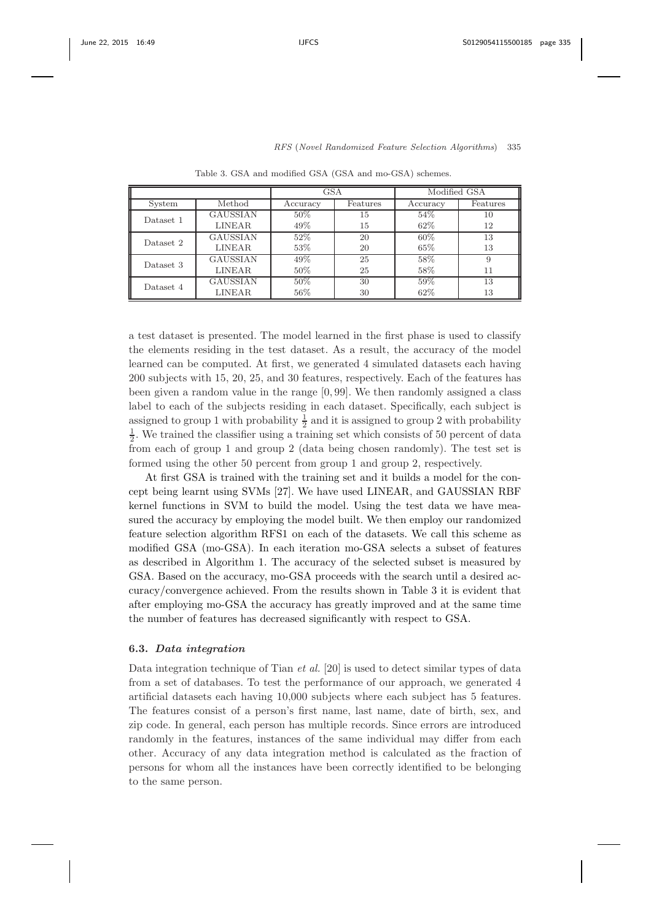|           |                 | GSA      |          | Modified GSA |          |
|-----------|-----------------|----------|----------|--------------|----------|
| System    | Method          | Accuracy | Features | Accuracy     | Features |
| Dataset 1 | <b>GAUSSIAN</b> | $50\%$   | 15       | 54%          | 10       |
|           | <b>LINEAR</b>   | 49%      | 15       | 62%          | 12       |
| Dataset 2 | <b>GAUSSIAN</b> | 52%      | 20       | 60%          | 13       |
|           | <b>LINEAR</b>   | 53%      | 20       | 65%          | 13       |
| Dataset 3 | <b>GAUSSIAN</b> | 49%      | 25       | 58%          |          |
|           | <b>LINEAR</b>   | 50%      | 25       | 58%          | 11       |
| Dataset 4 | <b>GAUSSIAN</b> | $50\%$   | 30       | 59%          | 13       |
|           | <b>LINEAR</b>   | 56%      | 30       | 62%          | 13       |

Table 3. GSA and modified GSA (GSA and mo-GSA) schemes.

a test dataset is presented. The model learned in the first phase is used to classify the elements residing in the test dataset. As a result, the accuracy of the model learned can be computed. At first, we generated 4 simulated datasets each having 200 subjects with 15, 20, 25, and 30 features, respectively. Each of the features has been given a random value in the range [0, 99]. We then randomly assigned a class label to each of the subjects residing in each dataset. Specifically, each subject is assigned to group 1 with probability  $\frac{1}{2}$  and it is assigned to group 2 with probability  $\frac{1}{2}$ . We trained the classifier using a training set which consists of 50 percent of data from each of group 1 and group 2 (data being chosen randomly). The test set is formed using the other 50 percent from group 1 and group 2, respectively.

At first GSA is trained with the training set and it builds a model for the concept being learnt using SVMs [27]. We have used LINEAR, and GAUSSIAN RBF kernel functions in SVM to build the model. Using the test data we have measured the accuracy by employing the model built. We then employ our randomized feature selection algorithm RFS1 on each of the datasets. We call this scheme as modified GSA (mo-GSA). In each iteration mo-GSA selects a subset of features as described in Algorithm 1. The accuracy of the selected subset is measured by GSA. Based on the accuracy, mo-GSA proceeds with the search until a desired accuracy/convergence achieved. From the results shown in Table 3 it is evident that after employing mo-GSA the accuracy has greatly improved and at the same time the number of features has decreased significantly with respect to GSA.

#### 6.3. Data integration

Data integration technique of Tian *et al.* [20] is used to detect similar types of data from a set of databases. To test the performance of our approach, we generated 4 artificial datasets each having 10,000 subjects where each subject has 5 features. The features consist of a person's first name, last name, date of birth, sex, and zip code. In general, each person has multiple records. Since errors are introduced randomly in the features, instances of the same individual may differ from each other. Accuracy of any data integration method is calculated as the fraction of persons for whom all the instances have been correctly identified to be belonging to the same person.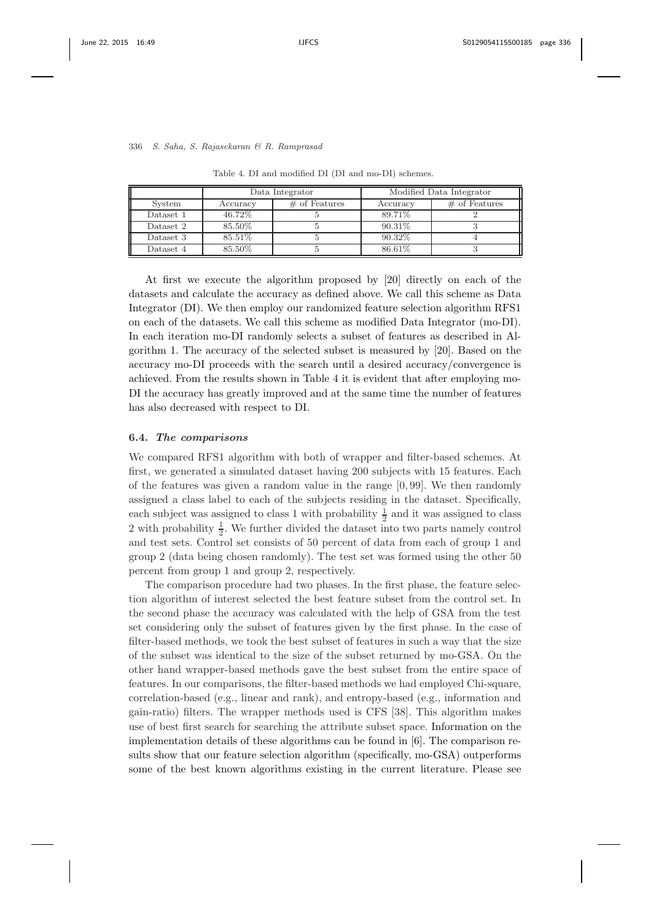|           |          | Data Integrator  | Modified Data Integrator |                  |  |
|-----------|----------|------------------|--------------------------|------------------|--|
| System    | Accuracy | $\#$ of Features | Accuracy                 | $\#$ of Features |  |
| Dataset 1 | 46.72\%  |                  | 89.71\%                  |                  |  |
| Dataset 2 | 85.50%   |                  | $90.31\%$                |                  |  |
| Dataset 3 | 85.51\%  |                  | 90.32%                   |                  |  |
| Dataset 4 | 85.50%   |                  | 86.61\%                  |                  |  |

Table 4. DI and modified DI (DI and mo-DI) schemes.

At first we execute the algorithm proposed by [20] directly on each of the datasets and calculate the accuracy as defined above. We call this scheme as Data Integrator (DI). We then employ our randomized feature selection algorithm RFS1 on each of the datasets. We call this scheme as modified Data Integrator (mo-DI). In each iteration mo-DI randomly selects a subset of features as described in Algorithm 1. The accuracy of the selected subset is measured by [20]. Based on the accuracy mo-DI proceeds with the search until a desired accuracy/convergence is achieved. From the results shown in Table 4 it is evident that after employing mo-DI the accuracy has greatly improved and at the same time the number of features has also decreased with respect to DI.

#### 6.4. The comparisons

We compared RFS1 algorithm with both of wrapper and filter-based schemes. At first, we generated a simulated dataset having 200 subjects with 15 features. Each of the features was given a random value in the range  $[0, 99]$ . We then randomly assigned a class label to each of the subjects residing in the dataset. Specifically, each subject was assigned to class 1 with probability  $\frac{1}{2}$  and it was assigned to class 2 with probability  $\frac{1}{2}$ . We further divided the dataset into two parts namely control and test sets. Control set consists of 50 percent of data from each of group 1 and group 2 (data being chosen randomly). The test set was formed using the other 50 percent from group 1 and group 2, respectively.

The comparison procedure had two phases. In the first phase, the feature selection algorithm of interest selected the best feature subset from the control set. In the second phase the accuracy was calculated with the help of GSA from the test set considering only the subset of features given by the first phase. In the case of filter-based methods, we took the best subset of features in such a way that the size of the subset was identical to the size of the subset returned by mo-GSA. On the other hand wrapper-based methods gave the best subset from the entire space of features. In our comparisons, the filter-based methods we had employed Chi-square, correlation-based (e.g., linear and rank), and entropy-based (e.g., information and gain-ratio) filters. The wrapper methods used is CFS [38]. This algorithm makes use of best first search for searching the attribute subset space. Information on the implementation details of these algorithms can be found in [6]. The comparison results show that our feature selection algorithm (specifically, mo-GSA) outperforms some of the best known algorithms existing in the current literature. Please see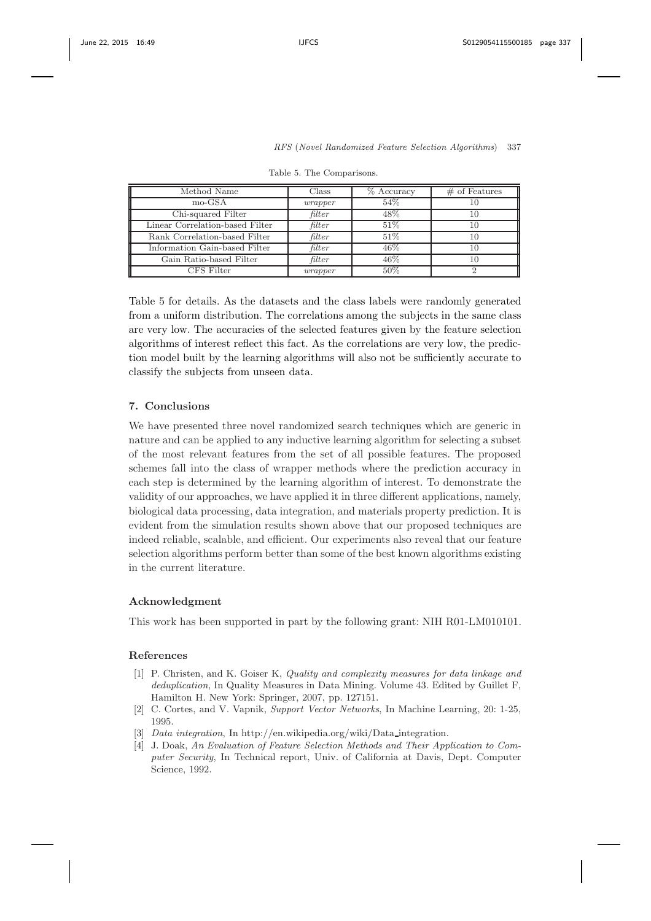| Method Name                     | Class   | $%$ Accuracy | $\#$ of Features |
|---------------------------------|---------|--------------|------------------|
| mo-GSA                          | wrapper | 54%          | 10               |
| Chi-squared Filter              | filter  | 48\%         | 10               |
| Linear Correlation-based Filter | filter  | 51\%         | 10               |
| Rank Correlation-based Filter   | filter  | 51\%         | 10               |
| Information Gain-based Filter   | filter  | 46\%         | 10               |
| Gain Ratio-based Filter         | filter  | 46\%         | 10               |
| CFS Filter                      | wrapper | 50%          |                  |

Table 5. The Comparisons.

Table 5 for details. As the datasets and the class labels were randomly generated from a uniform distribution. The correlations among the subjects in the same class are very low. The accuracies of the selected features given by the feature selection algorithms of interest reflect this fact. As the correlations are very low, the prediction model built by the learning algorithms will also not be sufficiently accurate to classify the subjects from unseen data.

# 7. Conclusions

We have presented three novel randomized search techniques which are generic in nature and can be applied to any inductive learning algorithm for selecting a subset of the most relevant features from the set of all possible features. The proposed schemes fall into the class of wrapper methods where the prediction accuracy in each step is determined by the learning algorithm of interest. To demonstrate the validity of our approaches, we have applied it in three different applications, namely, biological data processing, data integration, and materials property prediction. It is evident from the simulation results shown above that our proposed techniques are indeed reliable, scalable, and efficient. Our experiments also reveal that our feature selection algorithms perform better than some of the best known algorithms existing in the current literature.

# Acknowledgment

This work has been supported in part by the following grant: NIH R01-LM010101.

# References

- [1] P. Christen, and K. Goiser K, Quality and complexity measures for data linkage and deduplication, In Quality Measures in Data Mining. Volume 43. Edited by Guillet F, Hamilton H. New York: Springer, 2007, pp. 127151.
- [2] C. Cortes, and V. Vapnik, Support Vector Networks, In Machine Learning, 20: 1-25, 1995.
- [3] Data integration, In http://en.wikipedia.org/wiki/Data integration.
- [4] J. Doak, An Evaluation of Feature Selection Methods and Their Application to Computer Security, In Technical report, Univ. of California at Davis, Dept. Computer Science, 1992.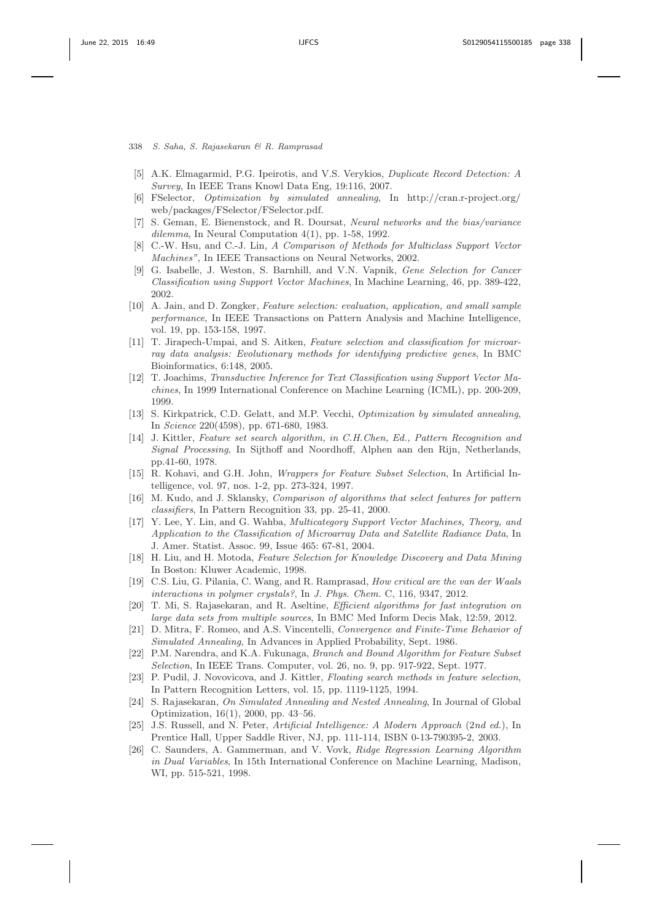- [5] A.K. Elmagarmid, P.G. Ipeirotis, and V.S. Verykios, Duplicate Record Detection: A Survey, In IEEE Trans Knowl Data Eng, 19:116, 2007.
- [6] FSelector, Optimization by simulated annealing, In http://cran.r-project.org/ web/packages/FSelector/FSelector.pdf.
- [7] S. Geman, E. Bienenstock, and R. Doursat, Neural networks and the bias/variance  $dilemma$ , In Neural Computation  $4(1)$ , pp. 1-58, 1992.
- [8] C.-W. Hsu, and C.-J. Lin, A Comparison of Methods for Multiclass Support Vector Machines", In IEEE Transactions on Neural Networks, 2002.
- [9] G. Isabelle, J. Weston, S. Barnhill, and V.N. Vapnik, Gene Selection for Cancer Classification using Support Vector Machines, In Machine Learning, 46, pp. 389-422, 2002.
- [10] A. Jain, and D. Zongker, Feature selection: evaluation, application, and small sample performance, In IEEE Transactions on Pattern Analysis and Machine Intelligence, vol. 19, pp. 153-158, 1997.
- [11] T. Jirapech-Umpai, and S. Aitken, Feature selection and classification for microarray data analysis: Evolutionary methods for identifying predictive genes, In BMC Bioinformatics, 6:148, 2005.
- [12] T. Joachims, Transductive Inference for Text Classification using Support Vector Machines, In 1999 International Conference on Machine Learning (ICML), pp. 200-209, 1999.
- [13] S. Kirkpatrick, C.D. Gelatt, and M.P. Vecchi, Optimization by simulated annealing, In Science 220(4598), pp. 671-680, 1983.
- [14] J. Kittler, Feature set search algorithm, in C.H.Chen, Ed., Pattern Recognition and Signal Processing, In Sijthoff and Noordhoff, Alphen aan den Rijn, Netherlands, pp.41-60, 1978.
- [15] R. Kohavi, and G.H. John, Wrappers for Feature Subset Selection, In Artificial Intelligence, vol. 97, nos. 1-2, pp. 273-324, 1997.
- [16] M. Kudo, and J. Sklansky, Comparison of algorithms that select features for pattern classifiers, In Pattern Recognition 33, pp. 25-41, 2000.
- [17] Y. Lee, Y. Lin, and G. Wahba, Multicategory Support Vector Machines, Theory, and Application to the Classification of Microarray Data and Satellite Radiance Data, In J. Amer. Statist. Assoc. 99, Issue 465: 67-81, 2004.
- [18] H. Liu, and H. Motoda, Feature Selection for Knowledge Discovery and Data Mining In Boston: Kluwer Academic, 1998.
- [19] C.S. Liu, G. Pilania, C. Wang, and R. Ramprasad, How critical are the van der Waals interactions in polymer crystals?, In J. Phys. Chem. C, 116, 9347, 2012.
- [20] T. Mi, S. Rajasekaran, and R. Aseltine, Efficient algorithms for fast integration on large data sets from multiple sources, In BMC Med Inform Decis Mak, 12:59, 2012.
- [21] D. Mitra, F. Romeo, and A.S. Vincentelli, Convergence and Finite-Time Behavior of Simulated Annealing, In Advances in Applied Probability, Sept. 1986.
- [22] P.M. Narendra, and K.A. Fukunaga, Branch and Bound Algorithm for Feature Subset Selection, In IEEE Trans. Computer, vol. 26, no. 9, pp. 917-922, Sept. 1977.
- [23] P. Pudil, J. Novovicova, and J. Kittler, Floating search methods in feature selection, In Pattern Recognition Letters, vol. 15, pp. 1119-1125, 1994.
- [24] S. Rajasekaran, On Simulated Annealing and Nested Annealing, In Journal of Global Optimization, 16(1), 2000, pp. 43–56.
- [25] J.S. Russell, and N. Peter, Artificial Intelligence: A Modern Approach (2nd ed.), In Prentice Hall, Upper Saddle River, NJ, pp. 111-114, ISBN 0-13-790395-2, 2003.
- [26] C. Saunders, A. Gammerman, and V. Vovk, Ridge Regression Learning Algorithm in Dual Variables, In 15th International Conference on Machine Learning, Madison, WI, pp. 515-521, 1998.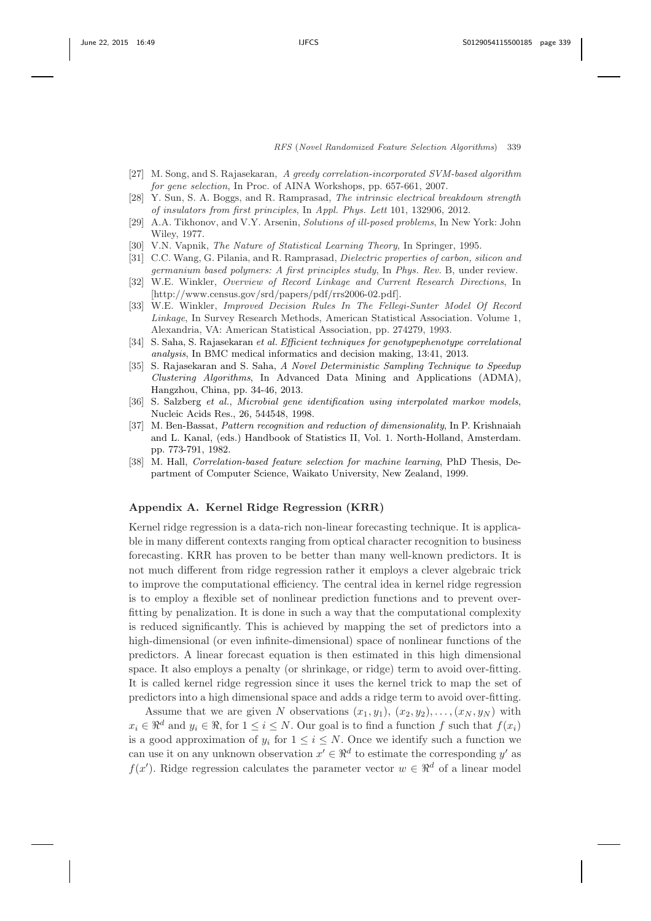- [27] M. Song, and S. Rajasekaran, A greedy correlation-incorporated SVM-based algorithm for gene selection, In Proc. of AINA Workshops, pp. 657-661, 2007.
- [28] Y. Sun, S. A. Boggs, and R. Ramprasad, The intrinsic electrical breakdown strength of insulators from first principles, In Appl. Phys. Lett 101, 132906, 2012.
- [29] A.A. Tikhonov, and V.Y. Arsenin, Solutions of ill-posed problems, In New York: John Wiley, 1977.
- [30] V.N. Vapnik, The Nature of Statistical Learning Theory, In Springer, 1995.
- [31] C.C. Wang, G. Pilania, and R. Ramprasad, *Dielectric properties of carbon, silicon and* germanium based polymers: A first principles study, In Phys. Rev. B, under review.
- [32] W.E. Winkler, Overview of Record Linkage and Current Research Directions, In [http://www.census.gov/srd/papers/pdf/rrs2006-02.pdf].
- [33] W.E. Winkler, Improved Decision Rules In The Fellegi-Sunter Model Of Record Linkage, In Survey Research Methods, American Statistical Association. Volume 1, Alexandria, VA: American Statistical Association, pp. 274279, 1993.
- [34] S. Saha, S. Rajasekaran et al. Efficient techniques for genotypephenotype correlational analysis, In BMC medical informatics and decision making, 13:41, 2013.
- [35] S. Rajasekaran and S. Saha, A Novel Deterministic Sampling Technique to Speedup Clustering Algorithms, In Advanced Data Mining and Applications (ADMA), Hangzhou, China, pp. 34-46, 2013.
- [36] S. Salzberg et al., Microbial gene identification using interpolated markov models, Nucleic Acids Res., 26, 544548, 1998.
- [37] M. Ben-Bassat, Pattern recognition and reduction of dimensionality, In P. Krishnaiah and L. Kanal, (eds.) Handbook of Statistics II, Vol. 1. North-Holland, Amsterdam. pp. 773-791, 1982.
- [38] M. Hall, Correlation-based feature selection for machine learning, PhD Thesis, Department of Computer Science, Waikato University, New Zealand, 1999.

## Appendix A. Kernel Ridge Regression (KRR)

Kernel ridge regression is a data-rich non-linear forecasting technique. It is applicable in many different contexts ranging from optical character recognition to business forecasting. KRR has proven to be better than many well-known predictors. It is not much different from ridge regression rather it employs a clever algebraic trick to improve the computational efficiency. The central idea in kernel ridge regression is to employ a flexible set of nonlinear prediction functions and to prevent overfitting by penalization. It is done in such a way that the computational complexity is reduced significantly. This is achieved by mapping the set of predictors into a high-dimensional (or even infinite-dimensional) space of nonlinear functions of the predictors. A linear forecast equation is then estimated in this high dimensional space. It also employs a penalty (or shrinkage, or ridge) term to avoid over-fitting. It is called kernel ridge regression since it uses the kernel trick to map the set of predictors into a high dimensional space and adds a ridge term to avoid over-fitting.

Assume that we are given N observations  $(x_1, y_1), (x_2, y_2), \ldots, (x_N, y_N)$  with  $x_i \in \mathbb{R}^d$  and  $y_i \in \mathbb{R}$ , for  $1 \leq i \leq N$ . Our goal is to find a function f such that  $f(x_i)$ is a good approximation of  $y_i$  for  $1 \leq i \leq N$ . Once we identify such a function we can use it on any unknown observation  $x' \in \mathbb{R}^d$  to estimate the corresponding y' as  $f(x')$ . Ridge regression calculates the parameter vector  $w \in \mathbb{R}^d$  of a linear model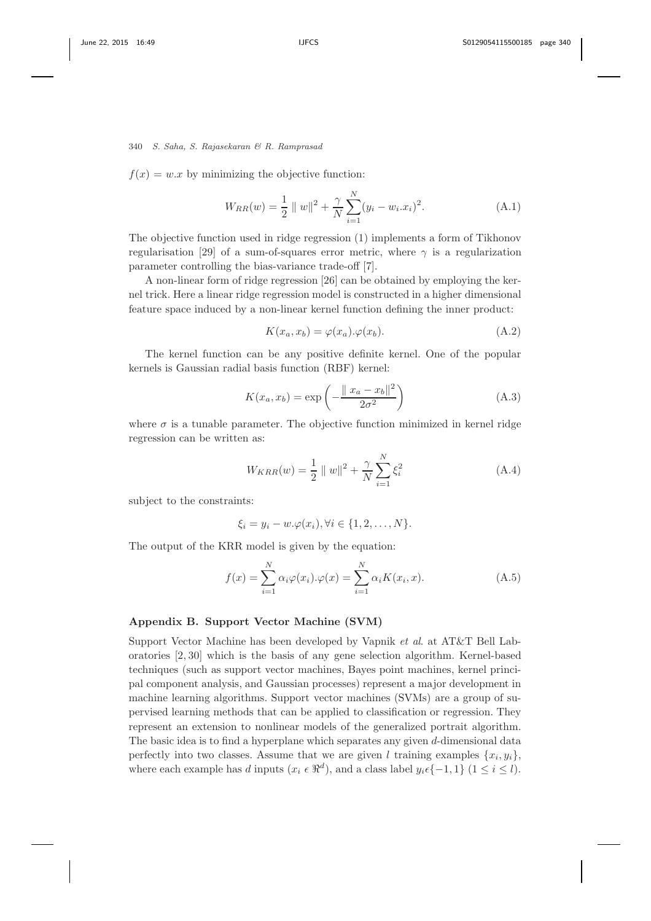### 340 S. Saha, S. Rajasekaran & R. Ramprasad

 $f(x) = w.x$  by minimizing the objective function:

$$
W_{RR}(w) = \frac{1}{2} ||w||^2 + \frac{\gamma}{N} \sum_{i=1}^{N} (y_i - w_i . x_i)^2.
$$
 (A.1)

The objective function used in ridge regression (1) implements a form of Tikhonov regularisation [29] of a sum-of-squares error metric, where  $\gamma$  is a regularization parameter controlling the bias-variance trade-off [7].

A non-linear form of ridge regression [26] can be obtained by employing the kernel trick. Here a linear ridge regression model is constructed in a higher dimensional feature space induced by a non-linear kernel function defining the inner product:

$$
K(x_a, x_b) = \varphi(x_a). \varphi(x_b). \tag{A.2}
$$

The kernel function can be any positive definite kernel. One of the popular kernels is Gaussian radial basis function (RBF) kernel:

$$
K(x_a, x_b) = \exp\left(-\frac{\|x_a - x_b\|^2}{2\sigma^2}\right)
$$
 (A.3)

where  $\sigma$  is a tunable parameter. The objective function minimized in kernel ridge regression can be written as:

$$
W_{KRR}(w) = \frac{1}{2} \|w\|^2 + \frac{\gamma}{N} \sum_{i=1}^{N} \xi_i^2
$$
 (A.4)

subject to the constraints:

$$
\xi_i = y_i - w.\varphi(x_i), \forall i \in \{1, 2, \dots, N\}.
$$

The output of the KRR model is given by the equation:

$$
f(x) = \sum_{i=1}^{N} \alpha_i \varphi(x_i) . \varphi(x) = \sum_{i=1}^{N} \alpha_i K(x_i, x).
$$
 (A.5)

# Appendix B. Support Vector Machine (SVM)

Support Vector Machine has been developed by Vapnik et al. at AT&T Bell Laboratories [2, 30] which is the basis of any gene selection algorithm. Kernel-based techniques (such as support vector machines, Bayes point machines, kernel principal component analysis, and Gaussian processes) represent a major development in machine learning algorithms. Support vector machines (SVMs) are a group of supervised learning methods that can be applied to classification or regression. They represent an extension to nonlinear models of the generalized portrait algorithm. The basic idea is to find a hyperplane which separates any given d-dimensional data perfectly into two classes. Assume that we are given l training examples  $\{x_i, y_i\}$ , where each example has d inputs  $(x_i \in \mathbb{R}^d)$ , and a class label  $y_i \in \{-1, 1\}$   $(1 \le i \le l)$ .